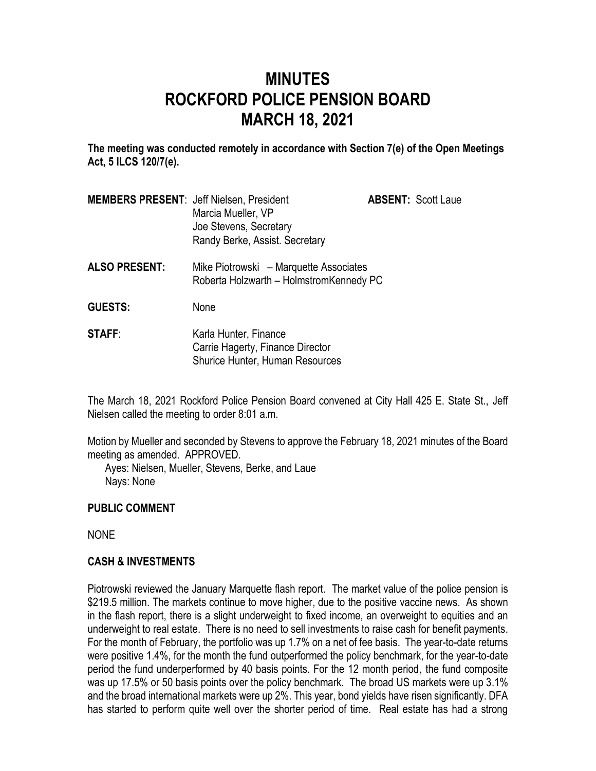# **MINUTES ROCKFORD POLICE PENSION BOARD MARCH 18, 2021**

**The meeting was conducted remotely in accordance with Section 7(e) of the Open Meetings Act, 5 ILCS 120/7(e).**

| <b>MEMBERS PRESENT: Jeff Nielsen, President</b> |                                | <b>ABSENT: Scott Laue</b> |
|-------------------------------------------------|--------------------------------|---------------------------|
|                                                 | Marcia Mueller, VP             |                           |
|                                                 | Joe Stevens, Secretary         |                           |
|                                                 | Randy Berke, Assist. Secretary |                           |

**ALSO PRESENT:** Mike Piotrowski – Marquette Associates Roberta Holzwarth – HolmstromKennedy PC

**GUESTS:** None

**STAFF:** Karla Hunter, Finance Carrie Hagerty, Finance Director Shurice Hunter, Human Resources

The March 18, 2021 Rockford Police Pension Board convened at City Hall 425 E. State St., Jeff Nielsen called the meeting to order 8:01 a.m.

Motion by Mueller and seconded by Stevens to approve the February 18, 2021 minutes of the Board meeting as amended. APPROVED.

Ayes: Nielsen, Mueller, Stevens, Berke, and Laue Nays: None

## **PUBLIC COMMENT**

NONE

## **CASH & INVESTMENTS**

Piotrowski reviewed the January Marquette flash report. The market value of the police pension is \$219.5 million. The markets continue to move higher, due to the positive vaccine news. As shown in the flash report, there is a slight underweight to fixed income, an overweight to equities and an underweight to real estate. There is no need to sell investments to raise cash for benefit payments. For the month of February, the portfolio was up 1.7% on a net of fee basis. The year-to-date returns were positive 1.4%, for the month the fund outperformed the policy benchmark, for the year-to-date period the fund underperformed by 40 basis points. For the 12 month period, the fund composite was up 17.5% or 50 basis points over the policy benchmark. The broad US markets were up 3.1% and the broad international markets were up 2%. This year, bond yields have risen significantly. DFA has started to perform quite well over the shorter period of time. Real estate has had a strong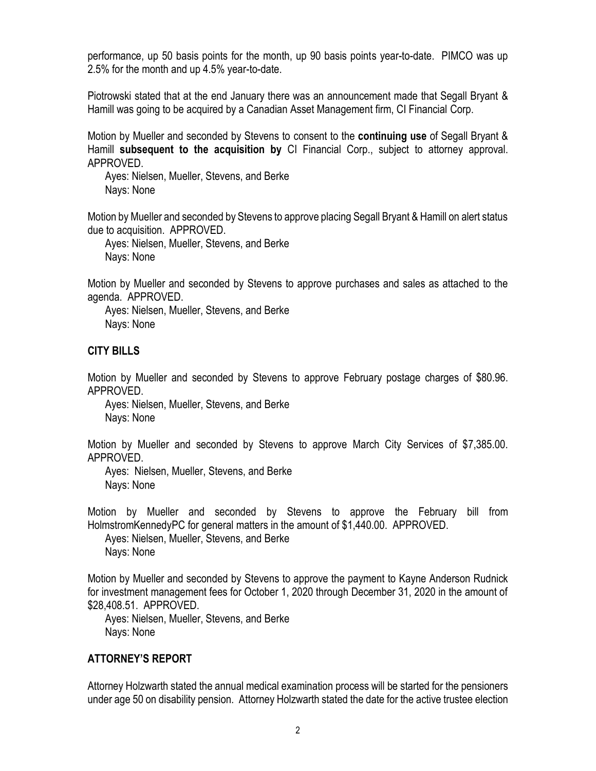performance, up 50 basis points for the month, up 90 basis points year-to-date. PIMCO was up 2.5% for the month and up 4.5% year-to-date.

Piotrowski stated that at the end January there was an announcement made that Segall Bryant & Hamill was going to be acquired by a Canadian Asset Management firm, CI Financial Corp.

Motion by Mueller and seconded by Stevens to consent to the **continuing use** of Segall Bryant & Hamill **subsequent to the acquisition by** CI Financial Corp., subject to attorney approval. APPROVED.

Ayes: Nielsen, Mueller, Stevens, and Berke Nays: None

Motion by Mueller and seconded by Stevens to approve placing Segall Bryant & Hamill on alert status due to acquisition. APPROVED.

Ayes: Nielsen, Mueller, Stevens, and Berke Nays: None

Motion by Mueller and seconded by Stevens to approve purchases and sales as attached to the agenda. APPROVED.

Ayes: Nielsen, Mueller, Stevens, and Berke Nays: None

### **CITY BILLS**

Motion by Mueller and seconded by Stevens to approve February postage charges of \$80.96. APPROVED.

Ayes: Nielsen, Mueller, Stevens, and Berke Nays: None

Motion by Mueller and seconded by Stevens to approve March City Services of \$7,385.00. APPROVED.

Ayes: Nielsen, Mueller, Stevens, and Berke Nays: None

Motion by Mueller and seconded by Stevens to approve the February bill from HolmstromKennedyPC for general matters in the amount of \$1,440.00. APPROVED. Ayes: Nielsen, Mueller, Stevens, and Berke

Nays: None

Motion by Mueller and seconded by Stevens to approve the payment to Kayne Anderson Rudnick for investment management fees for October 1, 2020 through December 31, 2020 in the amount of \$28,408.51. APPROVED.

Ayes: Nielsen, Mueller, Stevens, and Berke Nays: None

#### **ATTORNEY'S REPORT**

Attorney Holzwarth stated the annual medical examination process will be started for the pensioners under age 50 on disability pension. Attorney Holzwarth stated the date for the active trustee election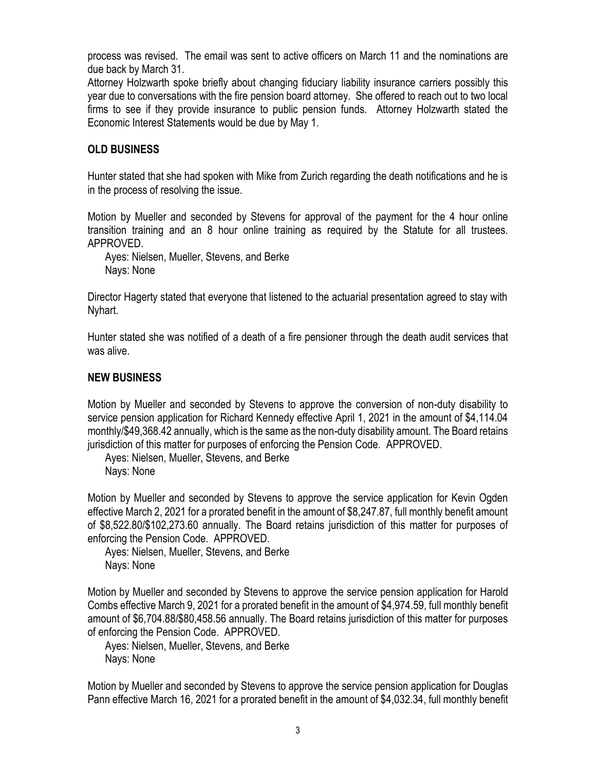process was revised. The email was sent to active officers on March 11 and the nominations are due back by March 31.

Attorney Holzwarth spoke briefly about changing fiduciary liability insurance carriers possibly this year due to conversations with the fire pension board attorney. She offered to reach out to two local firms to see if they provide insurance to public pension funds. Attorney Holzwarth stated the Economic Interest Statements would be due by May 1.

## **OLD BUSINESS**

Hunter stated that she had spoken with Mike from Zurich regarding the death notifications and he is in the process of resolving the issue.

Motion by Mueller and seconded by Stevens for approval of the payment for the 4 hour online transition training and an 8 hour online training as required by the Statute for all trustees. APPROVED.

Ayes: Nielsen, Mueller, Stevens, and Berke Nays: None

Director Hagerty stated that everyone that listened to the actuarial presentation agreed to stay with Nyhart.

Hunter stated she was notified of a death of a fire pensioner through the death audit services that was alive.

## **NEW BUSINESS**

Motion by Mueller and seconded by Stevens to approve the conversion of non-duty disability to service pension application for Richard Kennedy effective April 1, 2021 in the amount of \$4,114.04 monthly/\$49,368.42 annually, which is the same as the non-duty disability amount. The Board retains jurisdiction of this matter for purposes of enforcing the Pension Code. APPROVED.

Ayes: Nielsen, Mueller, Stevens, and Berke Nays: None

Motion by Mueller and seconded by Stevens to approve the service application for Kevin Ogden effective March 2, 2021 for a prorated benefit in the amount of \$8,247.87, full monthly benefit amount of \$8,522.80/\$102,273.60 annually. The Board retains jurisdiction of this matter for purposes of enforcing the Pension Code. APPROVED.

Ayes: Nielsen, Mueller, Stevens, and Berke Nays: None

Motion by Mueller and seconded by Stevens to approve the service pension application for Harold Combs effective March 9, 2021 for a prorated benefit in the amount of \$4,974.59, full monthly benefit amount of \$6,704.88/\$80,458.56 annually. The Board retains jurisdiction of this matter for purposes of enforcing the Pension Code. APPROVED.

Ayes: Nielsen, Mueller, Stevens, and Berke Nays: None

Motion by Mueller and seconded by Stevens to approve the service pension application for Douglas Pann effective March 16, 2021 for a prorated benefit in the amount of \$4,032.34, full monthly benefit